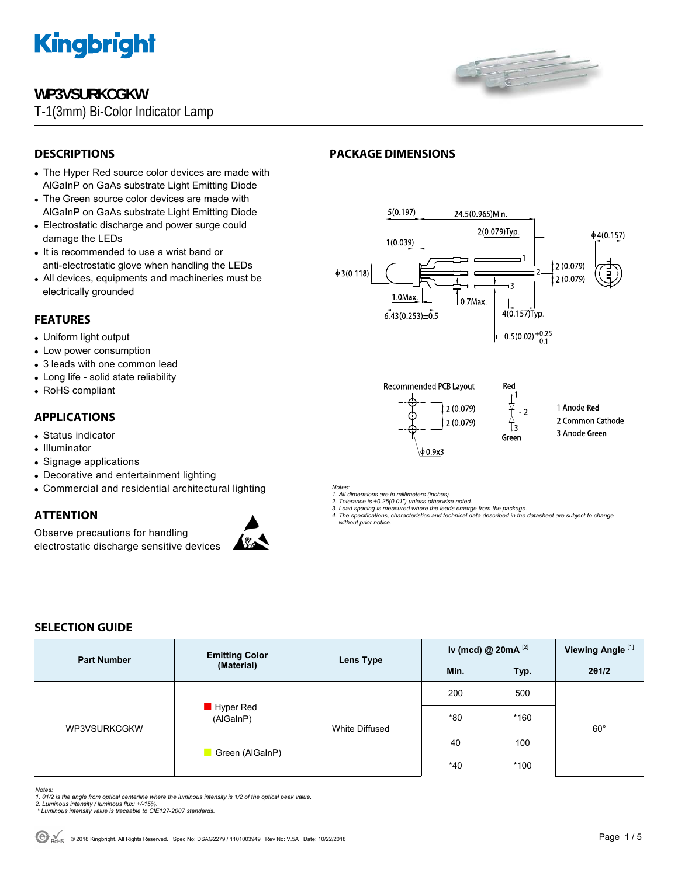

# **WP3VSURKCGKW**

T-1(3mm) Bi-Color Indicator Lamp



# **DESCRIPTIONS**

- The Hyper Red source color devices are made with AlGaInP on GaAs substrate Light Emitting Diode
- The Green source color devices are made with AlGaInP on GaAs substrate Light Emitting Diode
- Electrostatic discharge and power surge could damage the LEDs
- It is recommended to use a wrist band or anti-electrostatic glove when handling the LEDs
- All devices, equipments and machineries must be electrically grounded

# **FEATURES**

- Uniform light output
- Low power consumption
- 3 leads with one common lead
- Long life solid state reliability
- RoHS compliant

# **APPLICATIONS**

- Status indicator
- Illuminator
- Signage applications

**SELECTION GUIDE** 

- Decorative and entertainment lighting
- Commercial and residential architectural lighting

# **ATTENTION**

Observe precautions for handling electrostatic discharge sensitive devices



■ Hyper Red (AlGaInP)

■ Green (AlGaInP)

*Notes:* 

*1. All dimensions are in millimeters (inches). 2. Tolerance is ±0.25(0.01") unless otherwise noted.* 

 $0.9x3$ 

 *without prior notice.*

**Lens Type** 

White Diffused

# **PACKAGE DIMENSIONS**



Green

*3. Lead spacing is measured where the leads emerge from the package. 4. The specifications, characteristics and technical data described in the datasheet are subject to change* 



- 3 Anode Green
- 
- 

**Iv (mcd) @ 20mA** [2] **Viewing Angle** [1]

**Min. Typ. 2θ1/2** 

200 500

40 100

\*40 \*100

\*80 \*160

- 
- 

 $60^\circ$ 

*Notes:* 

1. 01/2 is the angle from optical centerline where the luminous intensity is 1/2 of the optical peak value.<br>2. Luminous intensity / luminous flux: +/-15%.<br>\* Luminous intensity value is traceable to CIE127-2007 standards.

**Part Number** *Emitting Color Color* 

WP3VSURKCGKW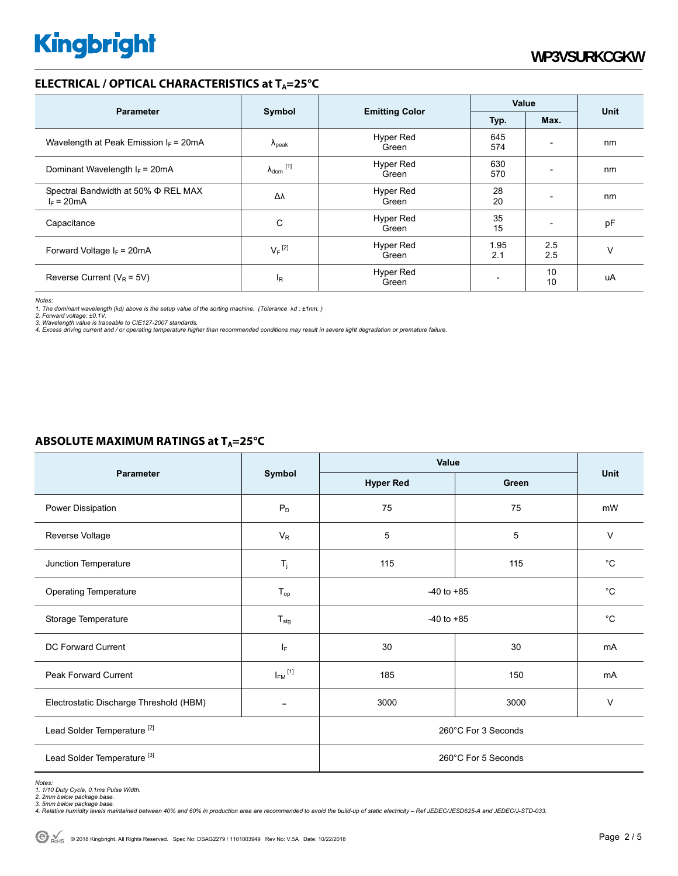# **ELECTRICAL / OPTICAL CHARACTERISTICS at T<sub>A</sub>=25°C**

| <b>Parameter</b>                                    | Symbol                     | <b>Emitting Color</b>     | Value       |                          |             |
|-----------------------------------------------------|----------------------------|---------------------------|-------------|--------------------------|-------------|
|                                                     |                            |                           | Typ.        | Max.                     | <b>Unit</b> |
| Wavelength at Peak Emission $I_F$ = 20mA            | $\Lambda_{\rm peak}$       | Hyper Red<br>Green        | 645<br>574  | $\overline{a}$           | nm          |
| Dominant Wavelength $I_F = 20 \text{mA}$            | $\lambda_{\text{dom}}$ [1] | <b>Hyper Red</b><br>Green | 630<br>570  |                          | nm          |
| Spectral Bandwidth at 50% Φ REL MAX<br>$I_F = 20mA$ | Δλ                         | <b>Hyper Red</b><br>Green | 28<br>20    | $\overline{a}$           | nm          |
| Capacitance                                         | C                          | Hyper Red<br>Green        | 35<br>15    | $\overline{\phantom{0}}$ | pF          |
| Forward Voltage $I_F$ = 20mA                        | $V_F$ <sup>[2]</sup>       | <b>Hyper Red</b><br>Green | 1.95<br>2.1 | 2.5<br>2.5               | v           |
| Reverse Current ( $V_R$ = 5V)                       | $\mathsf{I}_{\mathsf{R}}$  | <b>Hyper Red</b><br>Green |             | 10<br>10                 | uA          |

*Notes:* 

1. The dominant wavelength (λd) above is the setup value of the sorting machine. (Tolerance λd : ±1nm. )<br>2. Forward voltage: ±0.1V.<br>3. Wavelength value is traceable to CIE127-2007 standards.<br>4. Excess driving current and /

## **ABSOLUTE MAXIMUM RATINGS at T<sub>A</sub>=25°C**

| Parameter                               | Symbol                   | Value               |       |             |  |
|-----------------------------------------|--------------------------|---------------------|-------|-------------|--|
|                                         |                          | <b>Hyper Red</b>    | Green | <b>Unit</b> |  |
| Power Dissipation                       | $P_D$                    | 75                  | 75    | mW          |  |
| Reverse Voltage                         | $V_{R}$                  | 5                   | 5     | $\vee$      |  |
| Junction Temperature                    | $T_i$                    | 115                 | 115   | $^{\circ}C$ |  |
| <b>Operating Temperature</b>            | $T_{op}$                 | $-40$ to $+85$      |       | $^{\circ}C$ |  |
| Storage Temperature                     | $T_{\text{stg}}$         | $-40$ to $+85$      |       | $^{\circ}C$ |  |
| DC Forward Current                      | IF.                      | 30                  | 30    | mA          |  |
| Peak Forward Current                    | $I_{FM}$ <sup>[1]</sup>  | 185                 | 150   | mA          |  |
| Electrostatic Discharge Threshold (HBM) | $\overline{\phantom{a}}$ | 3000                | 3000  | $\vee$      |  |
| Lead Solder Temperature <sup>[2]</sup>  |                          | 260°C For 3 Seconds |       |             |  |
| Lead Solder Temperature <sup>[3]</sup>  |                          | 260°C For 5 Seconds |       |             |  |

Notes:<br>1. 1/10 Duty Cycle, 0.1ms Pulse Width.<br>2. 2mm below package base.<br>4. Relative humidity levels maintained between 40% and 60% in production area are recommended to avoid the build-up of static electricity – Ref JEDEC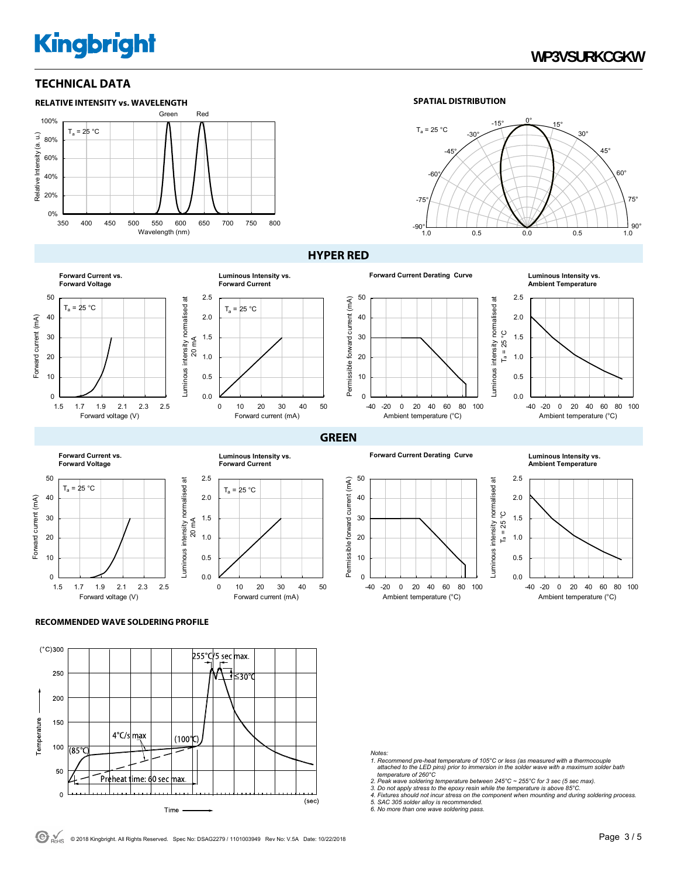# **Kingbright**

# **WP3VSURKCGKW**

# **TECHNICAL DATA**



0.0 0.5 1.0 1.5 2.0 2.5

 $T_a = 25 °C$ 

**Luminous Intensity vs. Forward Current**

#### **SPATIAL DISTRIBUTION**



 $T_a = 25^\circ C$ 

 $\ddot{a}$ 

ပ္ပ

## **HYPER RED**



**Ambient Temperature**















**Ambient Temperature**







0 10 20 30 40 50

Forward current (mA)



-40 -20 0 20 40 60 80 100 Ambient temperature (°C)



#### **RECOMMENDED WAVE SOLDERING PROFILE**



#### *Notes:*

- *1. Recommend pre-heat temperature of 105°C or less (as measured with a thermocouple attached to the LED pins) prior to immersion in the solder wave with a maximum solder bath temperature of 260°C*
- 
- *2. Peak wave soldering temperature between 245°C ~ 255°C for 3 sec (5 sec max). 3. Do not apply stress to the epoxy resin while the temperature is above 85°C.*
- *4. Fixtures should not incur stress on the component when mounting and during soldering process. 5. SAC 305 solder alloy is recommended. 6. No more than one wave soldering pass.*
-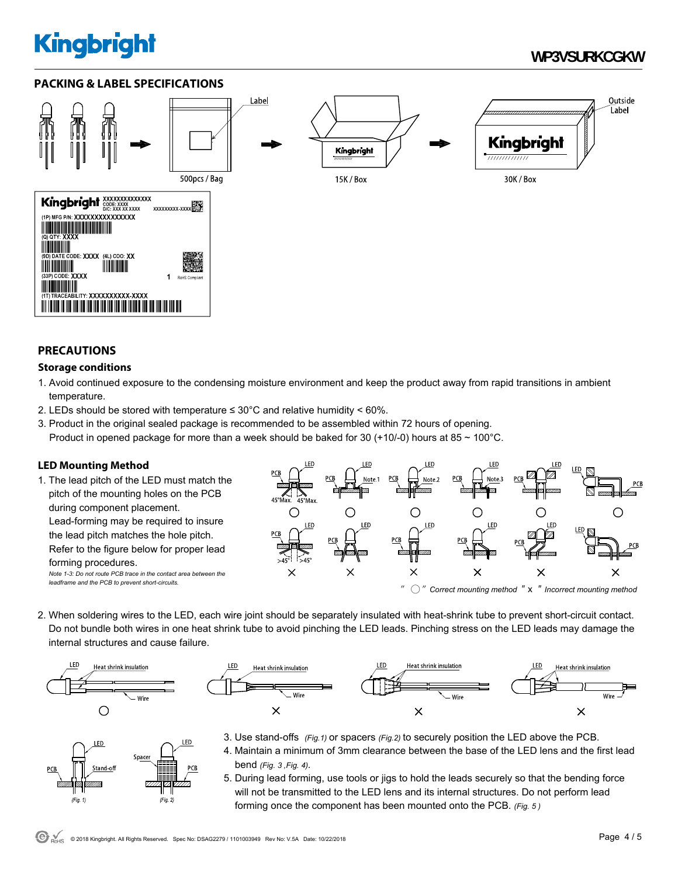# **Kingbright**

# **WP3VSURKCGKW**

## **PACKING & LABEL SPECIFICATIONS**



## **PRECAUTIONS**

## **Storage conditions**

- 1. Avoid continued exposure to the condensing moisture environment and keep the product away from rapid transitions in ambient temperature.
- 2. LEDs should be stored with temperature  $\leq 30^{\circ}$ C and relative humidity < 60%.
- 3. Product in the original sealed package is recommended to be assembled within 72 hours of opening. Product in opened package for more than a week should be baked for 30 (+10/-0) hours at 85  $\sim$  100 $^{\circ}$ C.

## **LED Mounting Method**

1. The lead pitch of the LED must match the pitch of the mounting holes on the PCB during component placement. Lead-forming may be required to insure the lead pitch matches the hole pitch. Refer to the figure below for proper lead forming procedures. *Note 1-3: Do not route PCB trace in the contact area between the leadframe and the PCB to prevent short-circuits.* 



2. When soldering wires to the LED, each wire joint should be separately insulated with heat-shrink tube to prevent short-circuit contact. Do not bundle both wires in one heat shrink tube to avoid pinching the LED leads. Pinching stress on the LED leads may damage the internal structures and cause failure.



LED

 $(Fig. 1)$ 

Spacer



- 3. Use stand-offs *(Fig.1)* or spacers *(Fig.2)* to securely position the LED above the PCB. LED 4. Maintain a minimum of 3mm clearance between the base of the LED lens and the first lead bend *(Fig. 3 ,Fig. 4).*
	- 5. During lead forming, use tools or jigs to hold the leads securely so that the bending force will not be transmitted to the LED lens and its internal structures. Do not perform lead forming once the component has been mounted onto the PCB. *(Fig. 5 )*

 $(Fig. 2)$